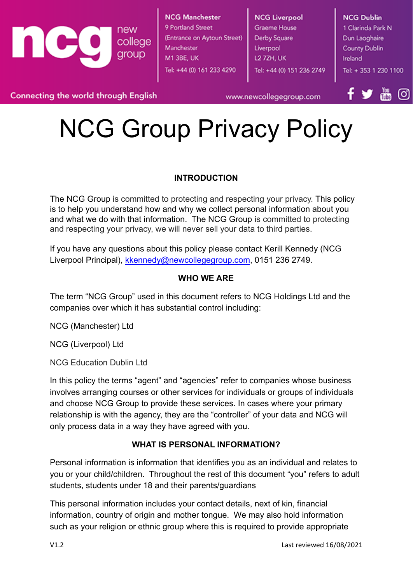

www.newcollegegroup.com

ΙOΪ

## NCG Group Privacy Policy

#### **INTRODUCTION**

The NCG Group is committed to protecting and respecting your privacy. This policy is to help you understand how and why we collect personal information about you and what we do with that information. The NCG Group is committed to protecting and respecting your privacy, we will never sell your data to third parties.

If you have any questions about this policy please contact Kerill Kennedy (NCG Liverpool Principal), [kkennedy@newcollegegroup.com](mailto:kkennedy@newcollegegroup.com), 0151 236 2749.

#### **WHO WE ARE**

The term "NCG Group" used in this document refers to NCG Holdings Ltd and the companies over which it has substantial control including:

NCG (Manchester) Ltd

NCG (Liverpool) Ltd

NCG Education Dublin Ltd

In this policy the terms "agent" and "agencies" refer to companies whose business involves arranging courses or other services for individuals or groups of individuals and choose NCG Group to provide these services. In cases where your primary relationship is with the agency, they are the "controller" of your data and NCG will only process data in a way they have agreed with you.

#### **WHAT IS PERSONAL INFORMATION?**

Personal information is information that identifies you as an individual and relates to you or your child/children. Throughout the rest of this document "you" refers to adult students, students under 18 and their parents/guardians

This personal information includes your contact details, next of kin, financial information, country of origin and mother tongue. We may also hold information such as your religion or ethnic group where this is required to provide appropriate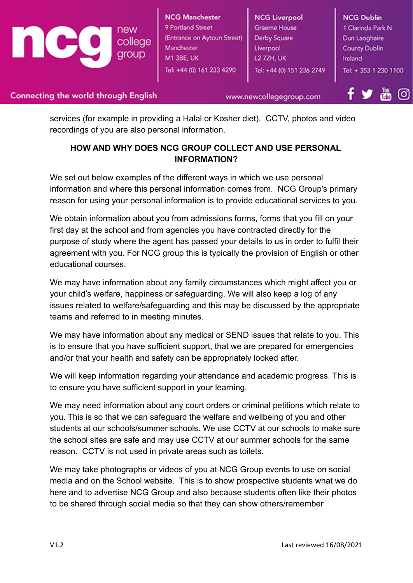

www.newcollegegroup.com

services (for example in providing a Halal or Kosher diet). CCTV, photos and video recordings of you are also personal information.

#### **HOW AND WHY DOES NCG GROUP COLLECT AND USE PERSONAL INFORMATION?**

We set out below examples of the different ways in which we use personal information and where this personal information comes from. NCG Group's primary reason for using your personal information is to provide educational services to you.

We obtain information about you from admissions forms, forms that you fill on your first day at the school and from agencies you have contracted directly for the purpose of study where the agent has passed your details to us in order to fulfil their agreement with you. For NCG group this is typically the provision of English or other educational courses.

We may have information about any family circumstances which might affect you or your child's welfare, happiness or safeguarding. We will also keep a log of any issues related to welfare/safeguarding and this may be discussed by the appropriate teams and referred to in meeting minutes.

We may have information about any medical or SEND issues that relate to you. This is to ensure that you have sufficient support, that we are prepared for emergencies and/or that your health and safety can be appropriately looked after.

We will keep information regarding your attendance and academic progress. This is to ensure you have sufficient support in your learning.

We may need information about any court orders or criminal petitions which relate to you. This is so that we can safeguard the welfare and wellbeing of you and other students at our schools/summer schools. We use CCTV at our schools to make sure the school sites are safe and may use CCTV at our summer schools for the same reason. CCTV is not used in private areas such as toilets.

We may take photographs or videos of you at NCG Group events to use on social media and on the School website. This is to show prospective students what we do here and to advertise NCG Group and also because students often like their photos to be shared through social media so that they can show others/remember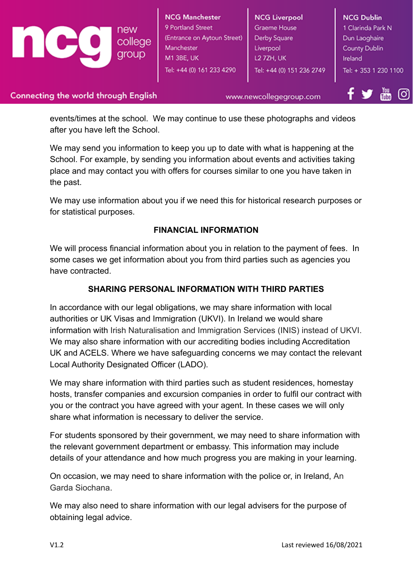**NCG Manchester NCG Liverpool NCG Dublin** 9 Portland Street **Graeme House** 1 Clarinda Park N (Entrance on Aytoun Street) Derby Square college Dun Laoghaire Manchester Liverpool **County Dublin** group M1 3BE, UK L2 7ZH, UK Ireland Tel: +44 (0) 161 233 4290 Tel: +44 (0) 151 236 2749 Tel: + 353 1 230 1100

#### **Connecting the world through English**

www.newcollegegroup.com

events/times at the school. We may continue to use these photographs and videos after you have left the School.

We may send you information to keep you up to date with what is happening at the School. For example, by sending you information about events and activities taking place and may contact you with offers for courses similar to one you have taken in the past.

We may use information about you if we need this for historical research purposes or for statistical purposes.

#### **FINANCIAL INFORMATION**

We will process financial information about you in relation to the payment of fees. In some cases we get information about you from third parties such as agencies you have contracted.

#### **SHARING PERSONAL INFORMATION WITH THIRD PARTIES**

In accordance with our legal obligations, we may share information with local authorities or UK Visas and Immigration (UKVI). In Ireland we would share information with Irish Naturalisation and Immigration Services (INIS) instead of UKVI. We may also share information with our accrediting bodies including Accreditation UK and ACELS. Where we have safeguarding concerns we may contact the relevant Local Authority Designated Officer (LADO).

We may share information with third parties such as student residences, homestay hosts, transfer companies and excursion companies in order to fulfil our contract with you or the contract you have agreed with your agent. In these cases we will only share what information is necessary to deliver the service.

For students sponsored by their government, we may need to share information with the relevant government department or embassy. This information may include details of your attendance and how much progress you are making in your learning.

On occasion, we may need to share information with the police or, in Ireland, An Garda Siochana.

We may also need to share information with our legal advisers for the purpose of obtaining legal advice.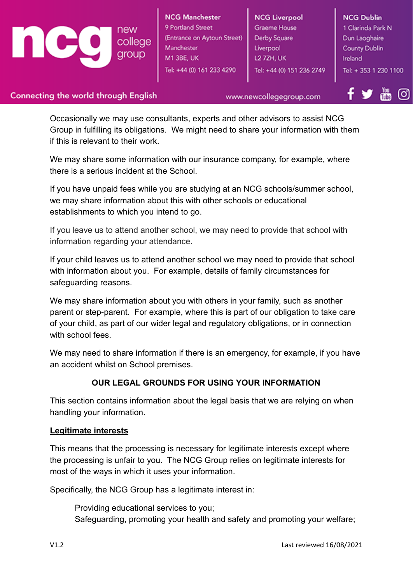# group

**NCG Manchester** 9 Portland Street (Entrance on Aytoun Street) college Manchester M1 3BE, UK Tel: +44 (0) 161 233 4290

**NCG Liverpool** Graeme House Derby Square Liverpool **L2 7ZH, UK** Tel: +44 (0) 151 236 2749 **NCG Dublin** 1 Clarinda Park N Dun Laoghaire **County Dublin** Ireland Tel: + 353 1 230 1100

#### **Connecting the world through English**

www.newcollegegroup.com

Occasionally we may use consultants, experts and other advisors to assist NCG Group in fulfilling its obligations. We might need to share your information with them if this is relevant to their work.

We may share some information with our insurance company, for example, where there is a serious incident at the School.

If you have unpaid fees while you are studying at an NCG schools/summer school, we may share information about this with other schools or educational establishments to which you intend to go.

If you leave us to attend another school, we may need to provide that school with information regarding your attendance.

If your child leaves us to attend another school we may need to provide that school with information about you. For example, details of family circumstances for safeguarding reasons.

We may share information about you with others in your family, such as another parent or step-parent. For example, where this is part of our obligation to take care of your child, as part of our wider legal and regulatory obligations, or in connection with school fees.

We may need to share information if there is an emergency, for example, if you have an accident whilst on School premises.

#### **OUR LEGAL GROUNDS FOR USING YOUR INFORMATION**

This section contains information about the legal basis that we are relying on when handling your information.

#### **Legitimate interests**

This means that the processing is necessary for legitimate interests except where the processing is unfair to you. The NCG Group relies on legitimate interests for most of the ways in which it uses your information.

Specifically, the NCG Group has a legitimate interest in:

Providing educational services to you; Safeguarding, promoting your health and safety and promoting your welfare;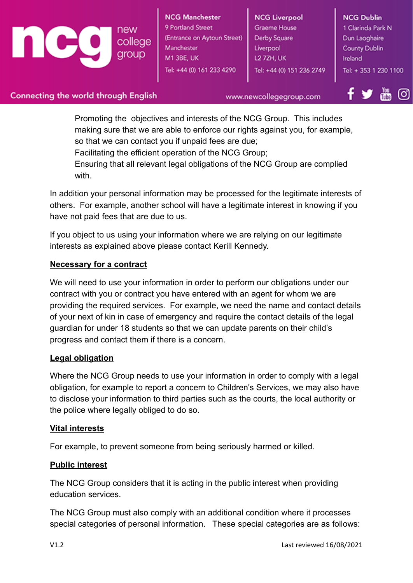college Manchester group M1 3BE, UK

**NCG Manchester** 9 Portland Street (Entrance on Aytoun Street) Tel: +44 (0) 161 233 4290

**NCG Liverpool Graeme House** Derby Square Liverpool L2 7ZH, UK Tel: +44 (0) 151 236 2749 **NCG Dublin** 1 Clarinda Park N Dun Laoghaire **County Dublin** Ireland Tel: + 353 1 230 1100

#### Connecting the world through English

www.newcollegegroup.com

Promoting the objectives and interests of the NCG Group. This includes making sure that we are able to enforce our rights against you, for example, so that we can contact you if unpaid fees are due;

Facilitating the efficient operation of the NCG Group;

Ensuring that all relevant legal obligations of the NCG Group are complied with.

In addition your personal information may be processed for the legitimate interests of others. For example, another school will have a legitimate interest in knowing if you have not paid fees that are due to us.

If you object to us using your information where we are relying on our legitimate interests as explained above please contact Kerill Kennedy.

#### **Necessary for a contract**

We will need to use your information in order to perform our obligations under our contract with you or contract you have entered with an agent for whom we are providing the required services. For example, we need the name and contact details of your next of kin in case of emergency and require the contact details of the legal guardian for under 18 students so that we can update parents on their child's progress and contact them if there is a concern.

#### **Legal obligation**

Where the NCG Group needs to use your information in order to comply with a legal obligation, for example to report a concern to Children's Services, we may also have to disclose your information to third parties such as the courts, the local authority or the police where legally obliged to do so.

#### **Vital interests**

For example, to prevent someone from being seriously harmed or killed.

#### **Public interest**

The NCG Group considers that it is acting in the public interest when providing education services.

The NCG Group must also comply with an additional condition where it processes special categories of personal information. These special categories are as follows: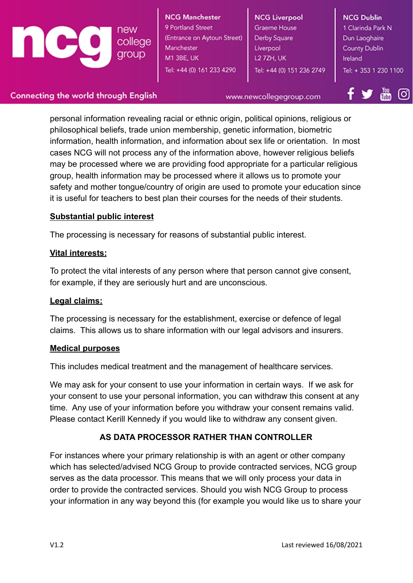

**NCG Manchester** 9 Portland Street (Entrance on Aytoun Street) Manchester M1 3BE, UK Tel: +44 (0) 161 233 4290

**NCG Liverpool** Graeme House Derby Square Liverpool L2 7ZH, UK Tel: +44 (0) 151 236 2749 **NCG Dublin** 1 Clarinda Park N Dun Laoghaire **County Dublin** Ireland Tel: + 353 1 230 1100

#### **Connecting the world through English**

www.newcollegegroup.com

personal information revealing racial or ethnic origin, political opinions, religious or philosophical beliefs, trade union membership, genetic information, biometric information, health information, and information about sex life or orientation. In most cases NCG will not process any of the information above, however religious beliefs may be processed where we are providing food appropriate for a particular religious group, health information may be processed where it allows us to promote your safety and mother tongue/country of origin are used to promote your education since it is useful for teachers to best plan their courses for the needs of their students.

#### **Substantial public interest**

The processing is necessary for reasons of substantial public interest.

#### **Vital interests:**

To protect the vital interests of any person where that person cannot give consent, for example, if they are seriously hurt and are unconscious.

#### **Legal claims:**

The processing is necessary for the establishment, exercise or defence of legal claims. This allows us to share information with our legal advisors and insurers.

#### **Medical purposes**

This includes medical treatment and the management of healthcare services.

We may ask for your consent to use your information in certain ways. If we ask for your consent to use your personal information, you can withdraw this consent at any time. Any use of your information before you withdraw your consent remains valid. Please contact Kerill Kennedy if you would like to withdraw any consent given.

### **AS DATA PROCESSOR RATHER THAN CONTROLLER**

For instances where your primary relationship is with an agent or other company which has selected/advised NCG Group to provide contracted services, NCG group serves as the data processor. This means that we will only process your data in order to provide the contracted services. Should you wish NCG Group to process your information in any way beyond this (for example you would like us to share your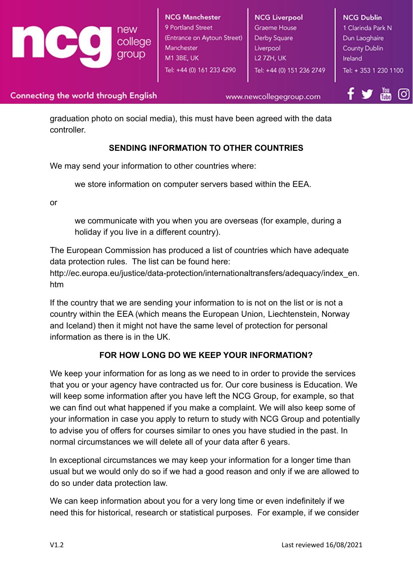

www.newcollegegroup.com

graduation photo on social media), this must have been agreed with the data controller.

#### **SENDING INFORMATION TO OTHER COUNTRIES**

We may send your information to other countries where:

we store information on computer servers based within the EEA.

or

we communicate with you when you are overseas (for example, during a holiday if you live in a different country).

The European Commission has produced a list of countries which have adequate data protection rules. The list can be found here:

http://ec.europa.eu/justice/data-protection/internationaltransfers/adequacy/index\_en. htm

If the country that we are sending your information to is not on the list or is not a country within the EEA (which means the European Union, Liechtenstein, Norway and Iceland) then it might not have the same level of protection for personal information as there is in the UK.

#### **FOR HOW LONG DO WE KEEP YOUR INFORMATION?**

We keep your information for as long as we need to in order to provide the services that you or your agency have contracted us for. Our core business is Education. We will keep some information after you have left the NCG Group, for example, so that we can find out what happened if you make a complaint. We will also keep some of your information in case you apply to return to study with NCG Group and potentially to advise you of offers for courses similar to ones you have studied in the past. In normal circumstances we will delete all of your data after 6 years.

In exceptional circumstances we may keep your information for a longer time than usual but we would only do so if we had a good reason and only if we are allowed to do so under data protection law.

We can keep information about you for a very long time or even indefinitely if we need this for historical, research or statistical purposes. For example, if we consider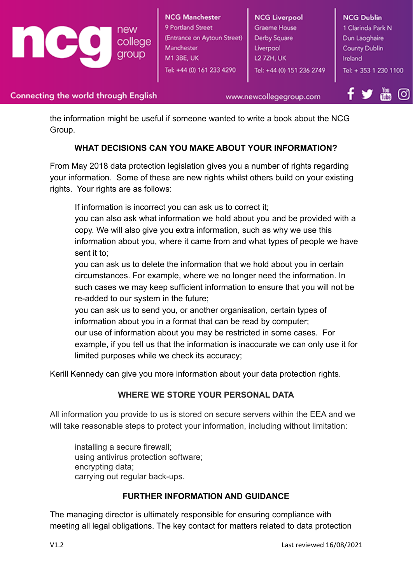

www.newcollegegroup.com

the information might be useful if someone wanted to write a book about the NCG Group.

#### **WHAT DECISIONS CAN YOU MAKE ABOUT YOUR INFORMATION?**

From May 2018 data protection legislation gives you a number of rights regarding your information. Some of these are new rights whilst others build on your existing rights. Your rights are as follows:

If information is incorrect you can ask us to correct it;

you can also ask what information we hold about you and be provided with a copy. We will also give you extra information, such as why we use this information about you, where it came from and what types of people we have sent it to;

you can ask us to delete the information that we hold about you in certain circumstances. For example, where we no longer need the information. In such cases we may keep sufficient information to ensure that you will not be re-added to our system in the future;

you can ask us to send you, or another organisation, certain types of information about you in a format that can be read by computer; our use of information about you may be restricted in some cases. For example, if you tell us that the information is inaccurate we can only use it for limited purposes while we check its accuracy;

Kerill Kennedy can give you more information about your data protection rights.

#### **WHERE WE STORE YOUR PERSONAL DATA**

All information you provide to us is stored on secure servers within the EEA and we will take reasonable steps to protect your information, including without limitation:

installing a secure firewall; using antivirus protection software; encrypting data; carrying out regular back-ups.

#### **FURTHER INFORMATION AND GUIDANCE**

The managing director is ultimately responsible for ensuring compliance with meeting all legal obligations. The key contact for matters related to data protection